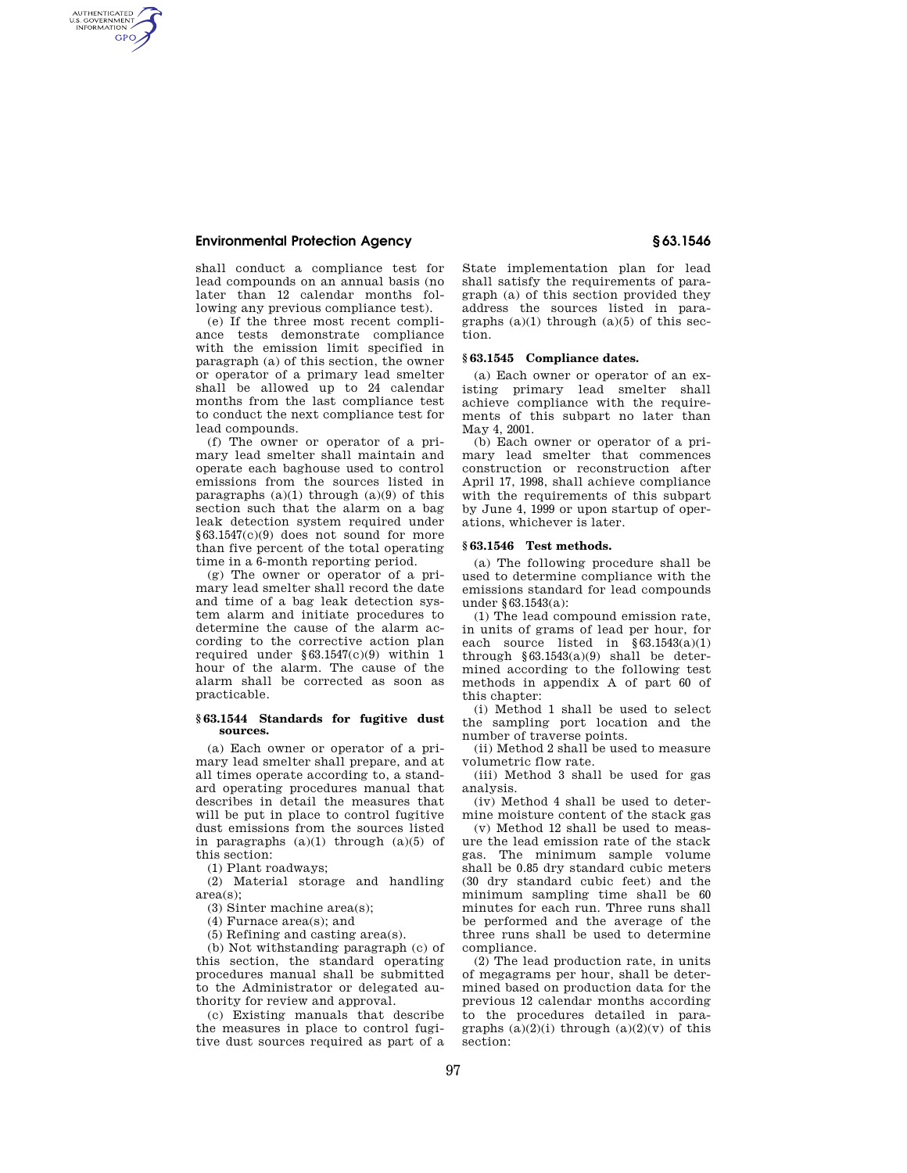# **Environmental Protection Agency § 63.1546**

AUTHENTICATED<br>U.S. GOVERNMENT<br>INFORMATION **GPO** 

> shall conduct a compliance test for lead compounds on an annual basis (no later than 12 calendar months following any previous compliance test).

> (e) If the three most recent compliance tests demonstrate compliance with the emission limit specified in paragraph (a) of this section, the owner or operator of a primary lead smelter shall be allowed up to 24 calendar months from the last compliance test to conduct the next compliance test for lead compounds.

> (f) The owner or operator of a primary lead smelter shall maintain and operate each baghouse used to control emissions from the sources listed in paragraphs  $(a)(1)$  through  $(a)(9)$  of this section such that the alarm on a bag leak detection system required under §63.1547(c)(9) does not sound for more than five percent of the total operating time in a 6-month reporting period.

> (g) The owner or operator of a primary lead smelter shall record the date and time of a bag leak detection system alarm and initiate procedures to determine the cause of the alarm according to the corrective action plan required under §63.1547(c)(9) within 1 hour of the alarm. The cause of the alarm shall be corrected as soon as practicable.

### **§ 63.1544 Standards for fugitive dust sources.**

(a) Each owner or operator of a primary lead smelter shall prepare, and at all times operate according to, a standard operating procedures manual that describes in detail the measures that will be put in place to control fugitive dust emissions from the sources listed in paragraphs  $(a)(1)$  through  $(a)(5)$  of this section:

(1) Plant roadways;

(2) Material storage and handling area(s);

(3) Sinter machine area(s);

(4) Furnace area(s); and

(5) Refining and casting area(s).

(b) Not withstanding paragraph (c) of this section, the standard operating procedures manual shall be submitted to the Administrator or delegated authority for review and approval.

(c) Existing manuals that describe the measures in place to control fugitive dust sources required as part of a

State implementation plan for lead shall satisfy the requirements of paragraph (a) of this section provided they address the sources listed in paragraphs  $(a)(1)$  through  $(a)(5)$  of this section.

# **§ 63.1545 Compliance dates.**

(a) Each owner or operator of an existing primary lead smelter shall achieve compliance with the requirements of this subpart no later than May 4, 2001.

(b) Each owner or operator of a primary lead smelter that commences construction or reconstruction after April 17, 1998, shall achieve compliance with the requirements of this subpart by June 4, 1999 or upon startup of operations, whichever is later.

## **§ 63.1546 Test methods.**

(a) The following procedure shall be used to determine compliance with the emissions standard for lead compounds under §63.1543(a):

(1) The lead compound emission rate, in units of grams of lead per hour, for each source listed in §63.1543(a)(1) through  $§63.1543(a)(9)$  shall be determined according to the following test methods in appendix A of part 60 of this chapter:

(i) Method 1 shall be used to select the sampling port location and the number of traverse points.

(ii) Method 2 shall be used to measure volumetric flow rate.

(iii) Method 3 shall be used for gas analysis.

(iv) Method 4 shall be used to determine moisture content of the stack gas

(v) Method 12 shall be used to measure the lead emission rate of the stack gas. The minimum sample volume shall be 0.85 dry standard cubic meters (30 dry standard cubic feet) and the minimum sampling time shall be 60 minutes for each run. Three runs shall be performed and the average of the three runs shall be used to determine compliance.

(2) The lead production rate, in units of megagrams per hour, shall be determined based on production data for the previous 12 calendar months according to the procedures detailed in paragraphs  $(a)(2)(i)$  through  $(a)(2)(v)$  of this section: